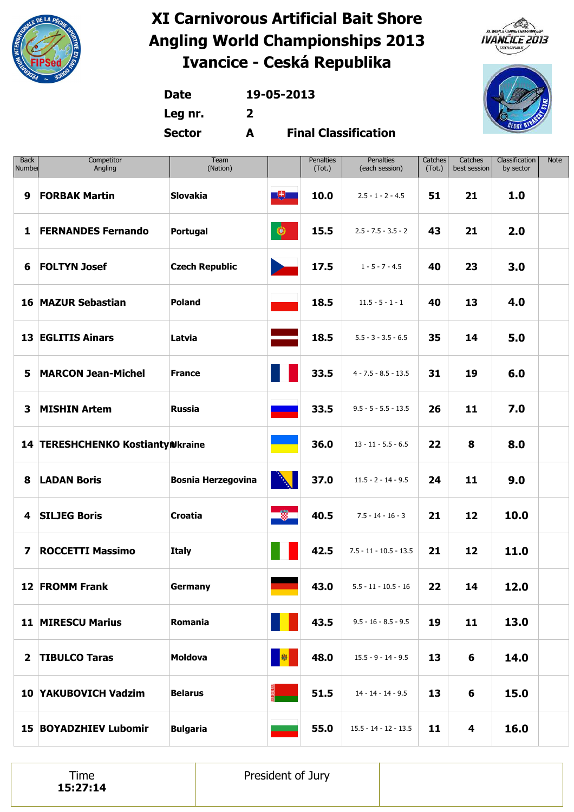





**Date 19-05-2013 Leg nr. 2**

**Sector A**

**Final Classification**

| <b>Back</b><br>Number | Competitor<br>Angling            | Team<br>(Nation)          |                       | Penalties<br>(Tot.) | <b>Penalties</b><br>(each session) | Catches<br>(Tot.) | Catches<br>best session | Classification<br>by sector | <b>Note</b> |
|-----------------------|----------------------------------|---------------------------|-----------------------|---------------------|------------------------------------|-------------------|-------------------------|-----------------------------|-------------|
| 9                     | <b>FORBAK Martin</b>             | <b>Slovakia</b>           | 也                     | 10.0                | $2.5 - 1 - 2 - 4.5$                | 51                | 21                      | 1.0                         |             |
| 1                     | <b>FERNANDES Fernando</b>        | Portugal                  | $\bigcirc$            | 15.5                | $2.5 - 7.5 - 3.5 - 2$              | 43                | 21                      | 2.0                         |             |
| 6                     | <b>FOLTYN Josef</b>              | <b>Czech Republic</b>     |                       | 17.5                | $1 - 5 - 7 - 4.5$                  | 40                | 23                      | 3.0                         |             |
|                       | <b>16 MAZUR Sebastian</b>        | <b>Poland</b>             |                       | 18.5                | $11.5 - 5 - 1 - 1$                 | 40                | 13                      | 4.0                         |             |
|                       | <b>13 EGLITIS Ainars</b>         | Latvia                    |                       | 18.5                | $5.5 - 3 - 3.5 - 6.5$              | 35                | 14                      | 5.0                         |             |
| 5                     | <b>MARCON Jean-Michel</b>        | <b>France</b>             |                       | 33.5                | $4 - 7.5 - 8.5 - 13.5$             | 31                | 19                      | 6.0                         |             |
| 3                     | <b>MISHIN Artem</b>              | <b>Russia</b>             |                       | 33.5                | $9.5 - 5 - 5.5 - 13.5$             | 26                | 11                      | 7.0                         |             |
|                       | 14 TERESHCHENKO KostiantyNkraine |                           |                       | 36.0                | $13 - 11 - 5.5 - 6.5$              | 22                | 8                       | 8.0                         |             |
| 8                     | <b>LADAN Boris</b>               | <b>Bosnia Herzegovina</b> | À                     | 37.0                | $11.5 - 2 - 14 - 9.5$              | 24                | 11                      | 9.0                         |             |
| 4                     | <b>SILJEG Boris</b>              | Croatia                   | $\ddot{\ddot{\circ}}$ | 40.5                | $7.5 - 14 - 16 - 3$                | 21                | 12                      | 10.0                        |             |
| 7                     | <b>ROCCETTI Massimo</b>          | <b>Italy</b>              |                       | 42.5                | $7.5 - 11 - 10.5 - 13.5$           | 21                | 12                      | 11.0                        |             |
|                       | 12 FROMM Frank                   | Germany                   |                       | 43.0                | $5.5 - 11 - 10.5 - 16$             | 22                | 14                      | 12.0                        |             |
|                       | <b>11 MIRESCU Marius</b>         | Romania                   |                       | 43.5                | $9.5 - 16 - 8.5 - 9.5$             | 19                | 11                      | 13.0                        |             |
| $\overline{2}$        | <b>TIBULCO Taras</b>             | <b>Moldova</b>            | 图                     | 48.0                | $15.5 - 9 - 14 - 9.5$              | 13                | 6                       | 14.0                        |             |
|                       | 10 YAKUBOVICH Vadzim             | <b>Belarus</b>            |                       | 51.5                | $14 - 14 - 14 - 9.5$               | 13                | 6                       | 15.0                        |             |
|                       | <b>15 BOYADZHIEV Lubomir</b>     | <b>Bulgaria</b>           |                       | 55.0                | $15.5 - 14 - 12 - 13.5$            | 11                | 4                       | 16.0                        |             |

Time **15:27:14** President of Jury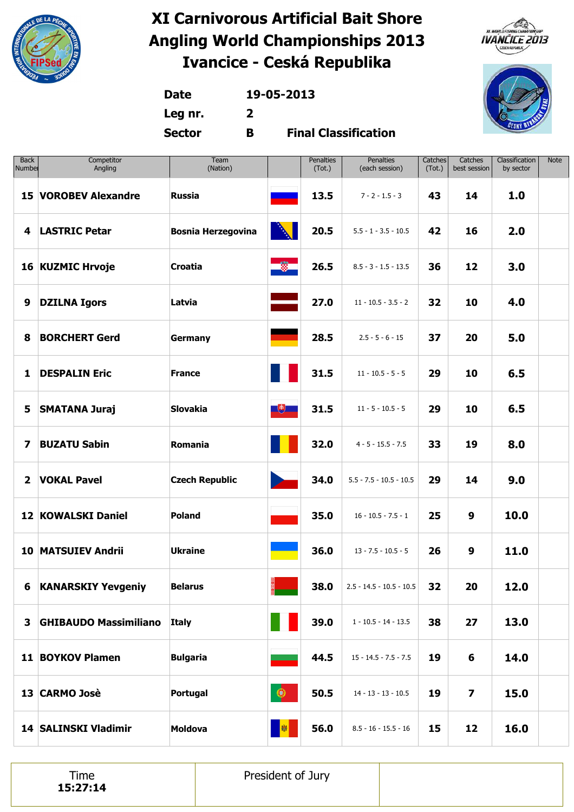





**Date 19-05-2013 Leg nr. 2**

**Sector B**

**Final Classification**

| <b>Back</b><br>Number   | Competitor<br>Angling        | Team<br>(Nation)          |            | Penalties<br>(Tot.) | <b>Penalties</b><br>(each session) | Catches<br>(Tot.) | Catches<br>best session | Classification<br>by sector | Note |
|-------------------------|------------------------------|---------------------------|------------|---------------------|------------------------------------|-------------------|-------------------------|-----------------------------|------|
|                         | <b>15 VOROBEV Alexandre</b>  | <b>Russia</b>             |            | 13.5                | $7 - 2 - 1.5 - 3$                  | 43                | 14                      | 1.0                         |      |
| 4                       | <b>LASTRIC Petar</b>         | <b>Bosnia Herzegovina</b> |            | 20.5                | $5.5 - 1 - 3.5 - 10.5$             | 42                | 16                      | 2.0                         |      |
|                         | 16 KUZMIC Hrvoje             | <b>Croatia</b>            | <u>ng </u> | 26.5                | $8.5 - 3 - 1.5 - 13.5$             | 36                | 12                      | 3.0                         |      |
| 9                       | <b>DZILNA Igors</b>          | Latvia                    |            | 27.0                | $11 - 10.5 - 3.5 - 2$              | 32                | 10                      | 4.0                         |      |
| 8                       | <b>BORCHERT Gerd</b>         | <b>Germany</b>            |            | 28.5                | $2.5 - 5 - 6 - 15$                 | 37                | 20                      | 5.0                         |      |
| 1                       | <b>DESPALIN Eric</b>         | <b>France</b>             |            | 31.5                | $11 - 10.5 - 5 - 5$                | 29                | 10                      | 6.5                         |      |
| 5                       | <b>SMATANA Juraj</b>         | <b>Slovakia</b>           | $\Box$     | 31.5                | $11 - 5 - 10.5 - 5$                | 29                | 10                      | 6.5                         |      |
| 7                       | <b>BUZATU Sabin</b>          | Romania                   |            | 32.0                | $4 - 5 - 15.5 - 7.5$               | 33                | 19                      | 8.0                         |      |
| $\overline{\mathbf{2}}$ | <b>VOKAL Pavel</b>           | <b>Czech Republic</b>     |            | 34.0                | $5.5 - 7.5 - 10.5 - 10.5$          | 29                | 14                      | 9.0                         |      |
|                         | <b>12 KOWALSKI Daniel</b>    | <b>Poland</b>             |            | 35.0                | $16 - 10.5 - 7.5 - 1$              | 25                | 9                       | 10.0                        |      |
|                         | <b>10 MATSUIEV Andrii</b>    | <b>Ukraine</b>            |            | 36.0                | $13 - 7.5 - 10.5 - 5$              | 26                | $\boldsymbol{9}$        | 11.0                        |      |
|                         | <b>6 KANARSKIY Yevgeniy</b>  | <b>Belarus</b>            |            | 38.0                | $2.5 - 14.5 - 10.5 - 10.5$         | 32                | 20                      | 12.0                        |      |
| $\mathbf{3}$            | <b>GHIBAUDO Massimiliano</b> | Italy                     |            | 39.0                | $1 - 10.5 - 14 - 13.5$             | 38                | 27                      | 13.0                        |      |
|                         | 11 BOYKOV Plamen             | <b>Bulgaria</b>           |            | 44.5                | $15 - 14.5 - 7.5 - 7.5$            | 19                | 6                       | 14.0                        |      |
|                         | 13 CARMO Josè                | Portugal                  | $\bullet$  | 50.5                | $14 - 13 - 13 - 10.5$              | 19                | $\overline{\mathbf{z}}$ | 15.0                        |      |
|                         | 14 SALINSKI Vladimir         | <b>Moldova</b>            | 圆          | 56.0                | $8.5 - 16 - 15.5 - 16$             | 15                | 12                      | 16.0                        |      |

Time **15:27:14** President of Jury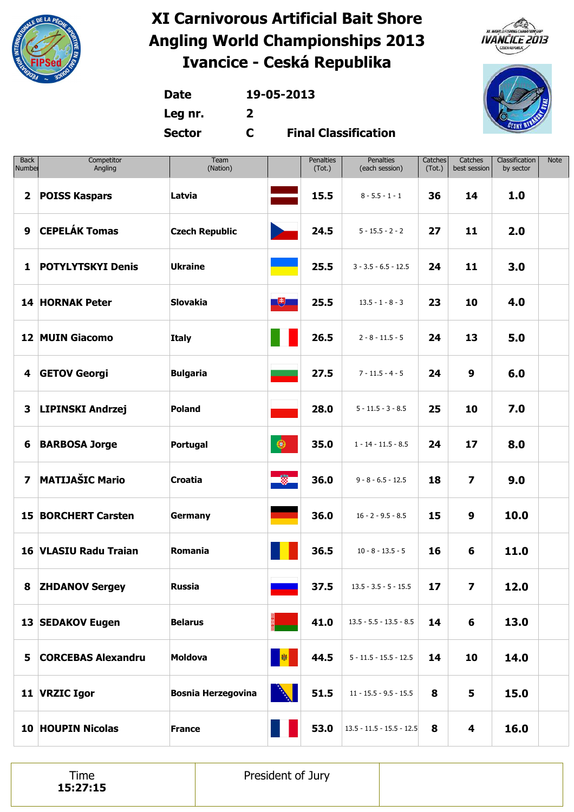





**Date 19-05-2013**

**Leg nr. 2**

**Sector C**

**Final Classification**

| <b>Back</b><br>Number   | Competitor<br>Angling        | Team<br>(Nation)          |             | <b>Penalties</b><br>(Tot.) | Penalties<br>(each session) | Catches<br>(Tot.) | Catches<br>best session | Classification<br>by sector | Note |
|-------------------------|------------------------------|---------------------------|-------------|----------------------------|-----------------------------|-------------------|-------------------------|-----------------------------|------|
| $\mathbf{2}$            | <b>POISS Kaspars</b>         | Latvia                    |             | 15.5                       | $8 - 5.5 - 1 - 1$           | 36                | 14                      | 1.0                         |      |
| 9                       | <b>CEPELÁK Tomas</b>         | <b>Czech Republic</b>     |             | 24.5                       | $5 - 15.5 - 2 - 2$          | 27                | 11                      | 2.0                         |      |
| 1                       | <b>POTYLYTSKYI Denis</b>     | <b>Ukraine</b>            |             | 25.5                       | $3 - 3.5 - 6.5 - 12.5$      | 24                | 11                      | 3.0                         |      |
|                         | <b>14 HORNAK Peter</b>       | <b>Slovakia</b>           | $\Box$      | 25.5                       | $13.5 - 1 - 8 - 3$          | 23                | 10                      | 4.0                         |      |
|                         | <b>12 MUIN Giacomo</b>       | <b>Italy</b>              |             | 26.5                       | $2 - 8 - 11.5 - 5$          | 24                | 13                      | 5.0                         |      |
| 4                       | <b>GETOV Georgi</b>          | <b>Bulgaria</b>           |             | 27.5                       | $7 - 11.5 - 4 - 5$          | 24                | 9                       | 6.0                         |      |
| 3                       | <b>LIPINSKI Andrzej</b>      | <b>Poland</b>             |             | 28.0                       | $5 - 11.5 - 3 - 8.5$        | 25                | 10                      | 7.0                         |      |
| 6                       | <b>BARBOSA Jorge</b>         | Portugal                  | $\bigcirc$  | 35.0                       | $1 - 14 - 11.5 - 8.5$       | 24                | 17                      | 8.0                         |      |
| $\overline{\mathbf{z}}$ | <b>MATIJAŠIC Mario</b>       | Croatia                   | <u>is g</u> | 36.0                       | $9 - 8 - 6.5 - 12.5$        | 18                | $\overline{\mathbf{z}}$ | 9.0                         |      |
|                         | <b>15 BORCHERT Carsten</b>   | <b>Germany</b>            |             | 36.0                       | $16 - 2 - 9.5 - 8.5$        | 15                | 9                       | 10.0                        |      |
|                         | <b>16 VLASIU Radu Traian</b> | Romania                   |             | 36.5                       | $10 - 8 - 13.5 - 5$         | 16                | 6                       | 11.0                        |      |
|                         | 8 ZHDANOV Sergey             | <b>Russia</b>             |             | 37.5                       | $13.5 - 3.5 - 5 - 15.5$     | 17                | $\overline{\mathbf{z}}$ | 12.0                        |      |
|                         | 13 SEDAKOV Eugen             | <b>Belarus</b>            |             | 41.0                       | $13.5 - 5.5 - 13.5 - 8.5$   | 14                | 6                       | 13.0                        |      |
|                         | 5 CORCEBAS Alexandru         | <b>Moldova</b>            | <b>B</b>    | 44.5                       | $5 - 11.5 - 15.5 - 12.5$    | 14                | 10                      | 14.0                        |      |
|                         | 11 VRZIC Igor                | <b>Bosnia Herzegovina</b> | A           | 51.5                       | $11 - 15.5 - 9.5 - 15.5$    | 8                 | 5                       | 15.0                        |      |
|                         | <b>10 HOUPIN Nicolas</b>     | <b>France</b>             |             | 53.0                       | $13.5 - 11.5 - 15.5 - 12.5$ | 8                 | 4                       | 16.0                        |      |

Time **15:27:15** President of Jury